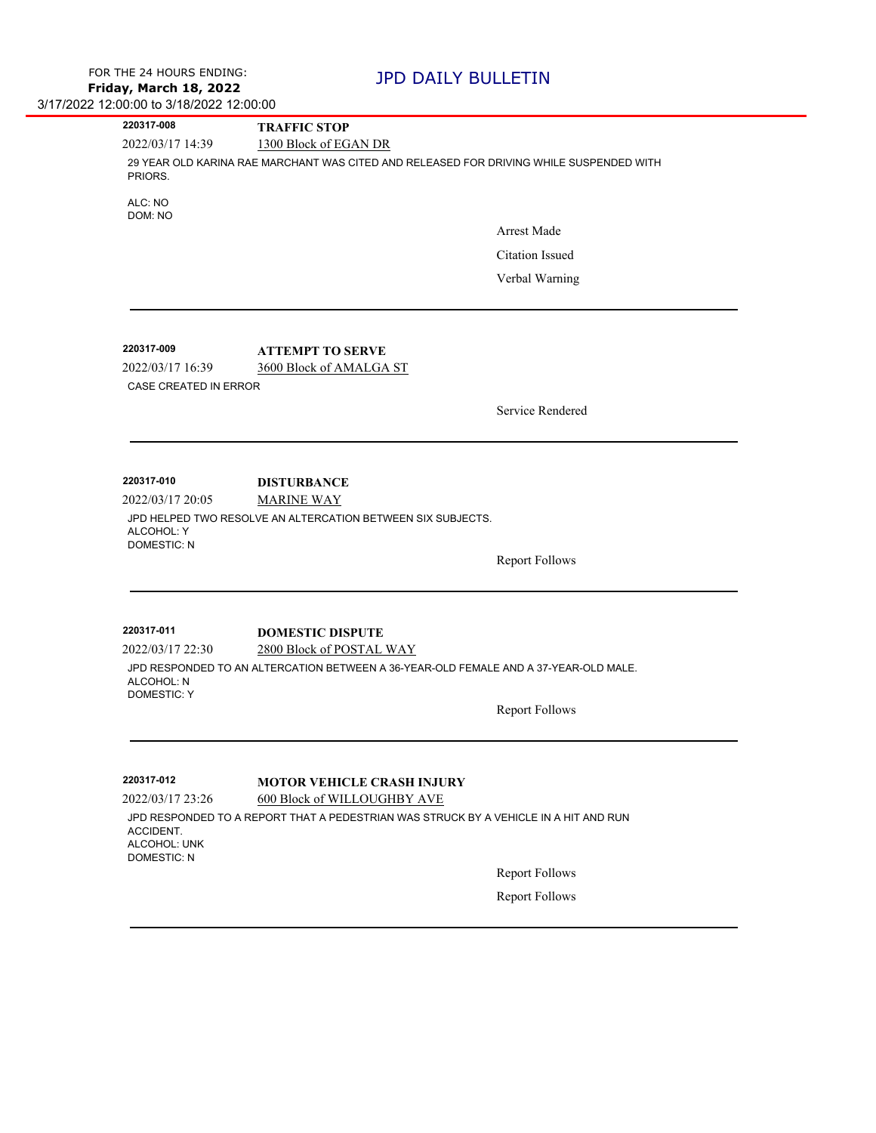|                                                 | <b>TRAFFIC STOP</b>                                                                     |                       |
|-------------------------------------------------|-----------------------------------------------------------------------------------------|-----------------------|
| 2022/03/17 14:39                                | 1300 Block of EGAN DR                                                                   |                       |
| PRIORS.                                         | 29 YEAR OLD KARINA RAE MARCHANT WAS CITED AND RELEASED FOR DRIVING WHILE SUSPENDED WITH |                       |
| ALC: NO<br>DOM: NO                              |                                                                                         |                       |
|                                                 |                                                                                         | Arrest Made           |
|                                                 |                                                                                         | Citation Issued       |
|                                                 |                                                                                         | Verbal Warning        |
|                                                 |                                                                                         |                       |
| 220317-009                                      | <b>ATTEMPT TO SERVE</b>                                                                 |                       |
| 2022/03/17 16:39                                | 3600 Block of AMALGA ST                                                                 |                       |
| CASE CREATED IN ERROR                           |                                                                                         |                       |
|                                                 |                                                                                         | Service Rendered      |
|                                                 |                                                                                         |                       |
| 220317-010                                      | <b>DISTURBANCE</b>                                                                      |                       |
| 2022/03/17 20:05                                | <b>MARINE WAY</b>                                                                       |                       |
| ALCOHOL: Y                                      | JPD HELPED TWO RESOLVE AN ALTERCATION BETWEEN SIX SUBJECTS.                             |                       |
| <b>DOMESTIC: N</b>                              |                                                                                         |                       |
|                                                 |                                                                                         | <b>Report Follows</b> |
| 220317-011                                      |                                                                                         |                       |
| 2022/03/17 22:30                                | <b>DOMESTIC DISPUTE</b><br>2800 Block of POSTAL WAY                                     |                       |
| ALCOHOL: N                                      | JPD RESPONDED TO AN ALTERCATION BETWEEN A 36-YEAR-OLD FEMALE AND A 37-YEAR-OLD MALE.    |                       |
| <b>DOMESTIC: Y</b>                              |                                                                                         | <b>Report Follows</b> |
|                                                 |                                                                                         |                       |
| 220317-012                                      | <b>MOTOR VEHICLE CRASH INJURY</b>                                                       |                       |
| 2022/03/17 23:26                                | 600 Block of WILLOUGHBY AVE                                                             |                       |
| ACCIDENT.<br>ALCOHOL: UNK<br><b>DOMESTIC: N</b> | JPD RESPONDED TO A REPORT THAT A PEDESTRIAN WAS STRUCK BY A VEHICLE IN A HIT AND RUN    |                       |
|                                                 |                                                                                         | <b>Report Follows</b> |